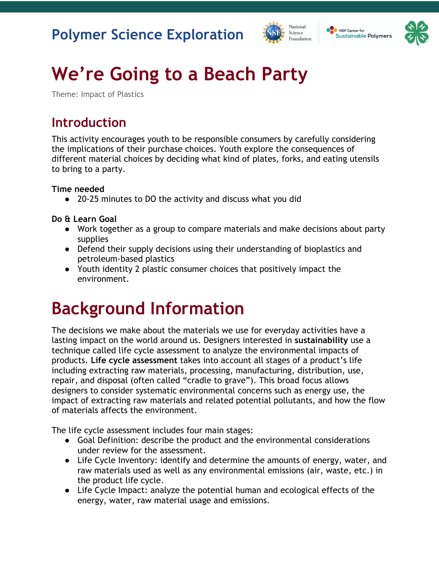



# **We're Going to a Beach Party**

Theme: Impact of Plastics

#### **Introduction**

This activity encourages youth to be responsible consumers by carefully considering the implications of their purchase choices. Youth explore the consequences of different material choices by deciding what kind of plates, forks, and eating utensils to bring to a party.

**Time needed**

● 20-25 minutes to DO the activity and discuss what you did

**Do & Learn Goal**

- Work together as a group to compare materials and make decisions about party supplies
- Defend their supply decisions using their understanding of bioplastics and petroleum-based plastics
- Youth identity 2 plastic consumer choices that positively impact the environment.

## **Background Information**

The decisions we make about the materials we use for everyday activities have a lasting impact on the world around us. Designers interested in **sustainability** use a technique called life cycle assessment to analyze the environmental impacts of products. **Life cycle assessment** takes into account all stages of a product's life including extracting raw materials, processing, manufacturing, distribution, use, repair, and disposal (often called "cradle to grave"). This broad focus allows designers to consider systematic environmental concerns such as energy use, the impact of extracting raw materials and related potential pollutants, and how the flow of materials affects the environment.

The life cycle assessment includes four main stages:

- Goal Definition: describe the product and the environmental considerations under review for the assessment.
- Life Cycle Inventory: identify and determine the amounts of energy, water, and raw materials used as well as any environmental emissions (air, waste, etc.) in the product life cycle.
- Life Cycle Impact: analyze the potential human and ecological effects of the energy, water, raw material usage and emissions.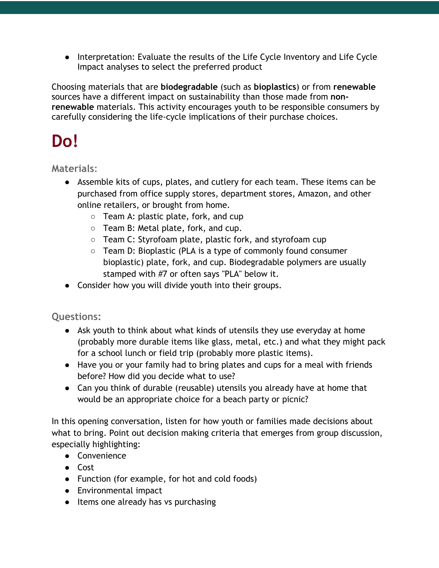● Interpretation: Evaluate the results of the Life Cycle Inventory and Life Cycle Impact analyses to select the preferred product

Choosing materials that are **biodegradable** (such as **bioplastics**) or from **renewable**  sources have a different impact on sustainability than those made from **nonrenewable** materials. This activity encourages youth to be responsible consumers by carefully considering the life-cycle implications of their purchase choices.

## **Do!**

**Materials:** 

- Assemble kits of cups, plates, and cutlery for each team. These items can be purchased from office supply stores, department stores, Amazon, and other online retailers, or brought from home.
	- Team A: plastic plate, fork, and cup
	- Team B: Metal plate, fork, and cup.
	- Team C: Styrofoam plate, plastic fork, and styrofoam cup
	- Team D: Bioplastic (PLA is a type of commonly found consumer bioplastic) plate, fork, and cup. Biodegradable polymers are usually stamped with #7 or often says "PLA" below it.
- Consider how you will divide youth into their groups.

**Questions:**

- Ask youth to think about what kinds of utensils they use everyday at home (probably more durable items like glass, metal, etc.) and what they might pack for a school lunch or field trip (probably more plastic items).
- Have you or your family had to bring plates and cups for a meal with friends before? How did you decide what to use?
- Can you think of durable (reusable) utensils you already have at home that would be an appropriate choice for a beach party or picnic?

In this opening conversation, listen for how youth or families made decisions about what to bring. Point out decision making criteria that emerges from group discussion, especially highlighting:

- Convenience
- Cost
- Function (for example, for hot and cold foods)
- Environmental impact
- Items one already has vs purchasing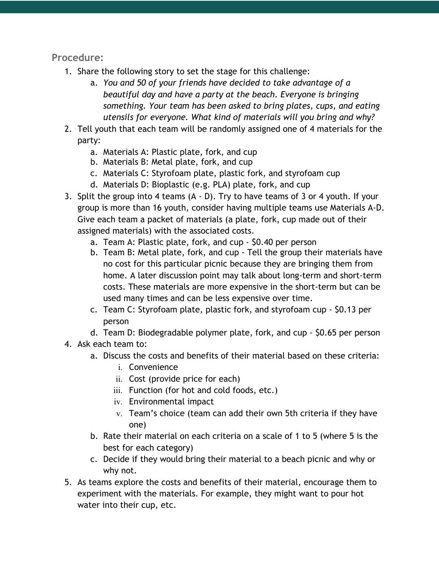**Procedure:**

- 1. Share the following story to set the stage for this challenge:
	- a. *You and 50 of your friends have decided to take advantage of a beautiful day and have a party at the beach. Everyone is bringing something. Your team has been asked to bring plates, cups, and eating utensils for everyone. What kind of materials will you bring and why?*
- 2. Tell youth that each team will be randomly assigned one of 4 materials for the party:
	- a. Materials A: Plastic plate, fork, and cup
	- b. Materials B: Metal plate, fork, and cup
	- c. Materials C: Styrofoam plate, plastic fork, and styrofoam cup
	- d. Materials D: Bioplastic (e.g. PLA) plate, fork, and cup
- 3. Split the group into 4 teams (A D). Try to have teams of 3 or 4 youth. If your group is more than 16 youth, consider having multiple teams use Materials A-D. Give each team a packet of materials (a plate, fork, cup made out of their assigned materials) with the associated costs.
	- a. Team A: Plastic plate, fork, and cup \$0.40 per person
	- b. Team B: Metal plate, fork, and cup Tell the group their materials have no cost for this particular picnic because they are bringing them from home. A later discussion point may talk about long-term and short-term costs. These materials are more expensive in the short-term but can be used many times and can be less expensive over time.
	- c. Team C: Styrofoam plate, plastic fork, and styrofoam cup \$0.13 per person
	- d. Team D: Biodegradable polymer plate, fork, and cup \$0.65 per person
- 4. Ask each team to:
	- a. Discuss the costs and benefits of their material based on these criteria:
		- i. Convenience
		- ii. Cost (provide price for each)
		- iii. Function (for hot and cold foods, etc.)
		- iv. Environmental impact
		- v. Team's choice (team can add their own 5th criteria if they have one)
	- b. Rate their material on each criteria on a scale of 1 to 5 (where 5 is the best for each category)
	- c. Decide if they would bring their material to a beach picnic and why or why not.
- 5. As teams explore the costs and benefits of their material, encourage them to experiment with the materials. For example, they might want to pour hot water into their cup, etc.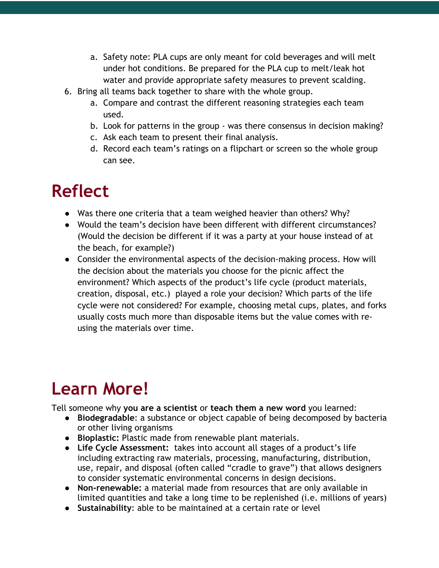- a. Safety note: PLA cups are only meant for cold beverages and will melt under hot conditions. Be prepared for the PLA cup to melt/leak hot water and provide appropriate safety measures to prevent scalding.
- 6. Bring all teams back together to share with the whole group.
	- a. Compare and contrast the different reasoning strategies each team used.
	- b. Look for patterns in the group was there consensus in decision making?
	- c. Ask each team to present their final analysis.
	- d. Record each team's ratings on a flipchart or screen so the whole group can see.

#### **Reflect**

- Was there one criteria that a team weighed heavier than others? Why?
- Would the team's decision have been different with different circumstances? (Would the decision be different if it was a party at your house instead of at the beach, for example?)
- Consider the environmental aspects of the decision-making process. How will the decision about the materials you choose for the picnic affect the environment? Which aspects of the product's life cycle (product materials, creation, disposal, etc.) played a role your decision? Which parts of the life cycle were not considered? For example, choosing metal cups, plates, and forks usually costs much more than disposable items but the value comes with reusing the materials over time.

## **Learn More!**

Tell someone why **you are a scientist** or **teach them a new word** you learned:

- **Biodegradable**: a substance or object capable of being decomposed by bacteria or other living organisms
- **Bioplastic:** Plastic made from renewable plant materials.
- **Life Cycle Assessment:** takes into account all stages of a product's life including extracting raw materials, processing, manufacturing, distribution, use, repair, and disposal (often called "cradle to grave") that allows designers to consider systematic environmental concerns in design decisions.
- **Non-renewable:** a material made from resources that are only available in limited quantities and take a long time to be replenished (i.e. millions of years)
- **Sustainability**: able to be maintained at a certain rate or level